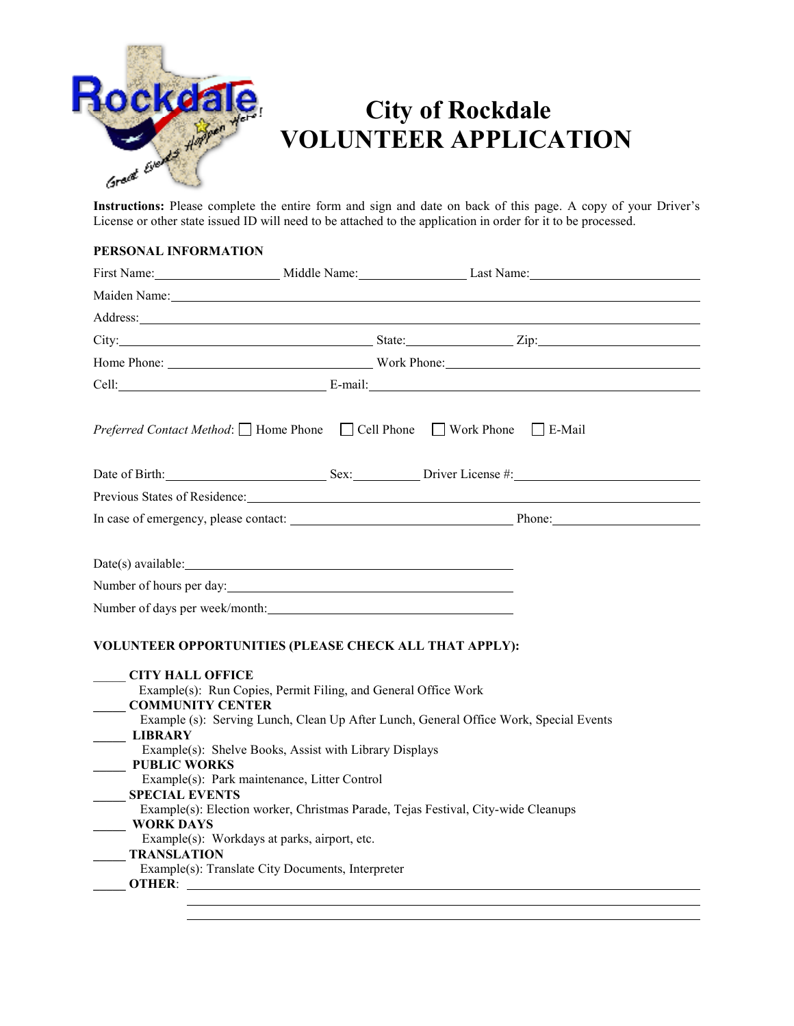

## **City of Rockdale VOLUNTEER APPLICATION**

License or other state issued ID will need to be attached to the application in order for it to be processed.

## **PERSONAL INFORMATION**

|                                                                                                                                                                |                                                                                                                                                                                                                                                                               | First Name: Middle Name: Last Name: Last Name:                                                                                                                                                                                      |  |
|----------------------------------------------------------------------------------------------------------------------------------------------------------------|-------------------------------------------------------------------------------------------------------------------------------------------------------------------------------------------------------------------------------------------------------------------------------|-------------------------------------------------------------------------------------------------------------------------------------------------------------------------------------------------------------------------------------|--|
|                                                                                                                                                                | Maiden Name: Manuel Manuel Manuel Manuel Manuel Manuel Manuel Manuel Manuel Manuel Manuel Manuel Manuel Manuel                                                                                                                                                                |                                                                                                                                                                                                                                     |  |
|                                                                                                                                                                | Address: 2008 and 2008 and 2008 and 2008 and 2008 and 2008 and 2008 and 2008 and 2008 and 2008 and 2008 and 20                                                                                                                                                                |                                                                                                                                                                                                                                     |  |
|                                                                                                                                                                |                                                                                                                                                                                                                                                                               | City: <u>City:</u> City: City: City: City: City: City: City: City: City: City: City: City: City: City: City: City: City: City: City: City: City: City: City: City: City: City: City: City: City: City: City: City: City: City: City |  |
|                                                                                                                                                                |                                                                                                                                                                                                                                                                               | Home Phone: Work Phone: Work Phone:                                                                                                                                                                                                 |  |
|                                                                                                                                                                |                                                                                                                                                                                                                                                                               | Cell: E-mail: E-mail: E-mail: E-mail: E-mail: E-mail: E-mail: E-mail: E-mail: E-mail: E-mail: E-mail: E-mail: E-mail: E-mail: E-mail: E-mail: E-mail: E-mail: E-mail: E-mail: E-mail: E-mail: E-mail: E-mail: E-mail: E-mail:       |  |
|                                                                                                                                                                |                                                                                                                                                                                                                                                                               | <i>Preferred Contact Method</i> : □ Home Phone □ Cell Phone □ Work Phone □ E-Mail                                                                                                                                                   |  |
|                                                                                                                                                                |                                                                                                                                                                                                                                                                               | Date of Birth: Sex: Driver License #:                                                                                                                                                                                               |  |
|                                                                                                                                                                |                                                                                                                                                                                                                                                                               | Previous States of Residence: New York Change and States of Residence:                                                                                                                                                              |  |
|                                                                                                                                                                |                                                                                                                                                                                                                                                                               |                                                                                                                                                                                                                                     |  |
| Date(s) available:                                                                                                                                             | <u> 1980 - Johann Barn, mars ann an t-Amhain Aonaich an t-Aonaich an t-Aonaich ann an t-Aonaich ann an t-Aonaich</u><br>Number of hours per day:<br>Number of days per week/month:<br>VOLUNTEER OPPORTUNITIES (PLEASE CHECK ALL THAT APPLY):                                  |                                                                                                                                                                                                                                     |  |
| <b>CITY HALL OFFICE</b><br><b>COMMUNITY CENTER</b><br><b>LIBRARY</b><br><b>PUBLIC WORKS</b><br><b>SPECIAL EVENTS</b><br><b>WORK DAYS</b><br><b>TRANSLATION</b> | Example(s): Run Copies, Permit Filing, and General Office Work<br>Example(s): Shelve Books, Assist with Library Displays<br>Example(s): Park maintenance, Litter Control<br>Example(s): Workdays at parks, airport, etc.<br>Example(s): Translate City Documents, Interpreter | Example (s): Serving Lunch, Clean Up After Lunch, General Office Work, Special Events<br>Example(s): Election worker, Christmas Parade, Tejas Festival, City-wide Cleanups                                                          |  |